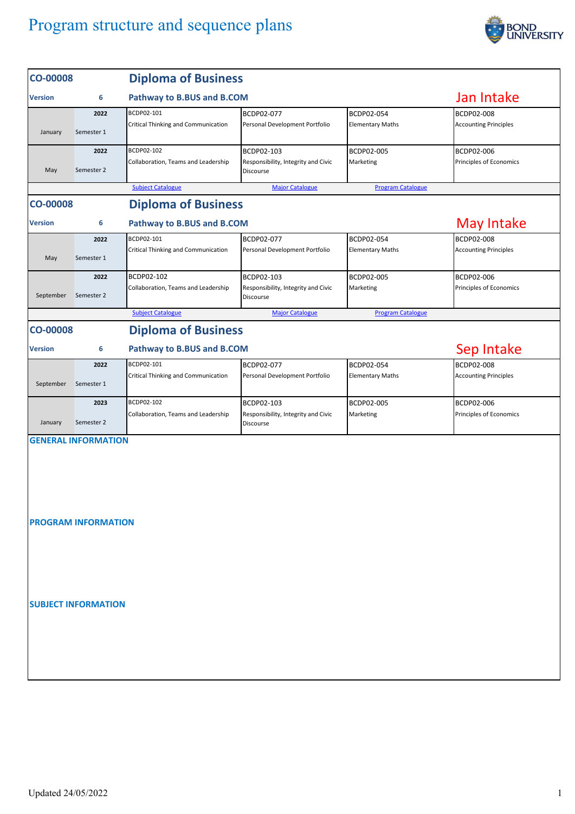

| <b>CO-00008</b>                               |                            | <b>Diploma of Business</b>                 |                                                  |                          |                              |  |  |  |  |
|-----------------------------------------------|----------------------------|--------------------------------------------|--------------------------------------------------|--------------------------|------------------------------|--|--|--|--|
| 6<br><b>Version</b>                           |                            | Pathway to B.BUS and B.COM                 |                                                  |                          | Jan Intake                   |  |  |  |  |
|                                               | 2022                       | BCDP02-101                                 | BCDP02-077                                       | BCDP02-054               | BCDP02-008                   |  |  |  |  |
| January                                       | Semester 1                 | Critical Thinking and Communication        | Personal Development Portfolio                   | <b>Elementary Maths</b>  | <b>Accounting Principles</b> |  |  |  |  |
|                                               | 2022                       | BCDP02-102                                 | BCDP02-103                                       | BCDP02-005               | BCDP02-006                   |  |  |  |  |
| May                                           | Semester 2                 | Collaboration, Teams and Leadership        | Responsibility, Integrity and Civic<br>Discourse | Marketing                | Principles of Economics      |  |  |  |  |
|                                               |                            | <b>Subject Catalogue</b>                   | <b>Major Catalogue</b>                           | <b>Program Catalogue</b> |                              |  |  |  |  |
| <b>Diploma of Business</b><br><b>CO-00008</b> |                            |                                            |                                                  |                          |                              |  |  |  |  |
| <b>Version</b>                                | 6                          |                                            | <b>May Intake</b>                                |                          |                              |  |  |  |  |
|                                               | 2022                       | BCDP02-101                                 | BCDP02-077                                       | BCDP02-054               | BCDP02-008                   |  |  |  |  |
| May                                           | Semester 1                 | Critical Thinking and Communication        | Personal Development Portfolio                   | <b>Elementary Maths</b>  | <b>Accounting Principles</b> |  |  |  |  |
|                                               | 2022                       | BCDP02-102                                 | BCDP02-103                                       | BCDP02-005               | BCDP02-006                   |  |  |  |  |
| September                                     | Semester 2                 | Collaboration, Teams and Leadership        | Responsibility, Integrity and Civic<br>Discourse | Marketing                | Principles of Economics      |  |  |  |  |
|                                               |                            | <b>Subject Catalogue</b>                   | <b>Major Catalogue</b>                           | <b>Program Catalogue</b> |                              |  |  |  |  |
| <b>CO-00008</b>                               |                            | <b>Diploma of Business</b>                 |                                                  |                          |                              |  |  |  |  |
| <b>Version</b>                                | Sep Intake                 |                                            |                                                  |                          |                              |  |  |  |  |
|                                               | 2022                       | BCDP02-101                                 | BCDP02-077                                       | BCDP02-054               | BCDP02-008                   |  |  |  |  |
| September                                     | Semester 1                 | <b>Critical Thinking and Communication</b> | Personal Development Portfolio                   | <b>Elementary Maths</b>  | <b>Accounting Principles</b> |  |  |  |  |
|                                               | 2023                       | BCDP02-102                                 | BCDP02-103                                       | BCDP02-005               | BCDP02-006                   |  |  |  |  |
| January                                       | Semester 2                 | Collaboration, Teams and Leadership        | Responsibility, Integrity and Civic<br>Discourse | Marketing                | Principles of Economics      |  |  |  |  |
|                                               | <b>GENERAL INFORMATION</b> |                                            |                                                  |                          |                              |  |  |  |  |
|                                               | <b>PROGRAM INFORMATION</b> |                                            |                                                  |                          |                              |  |  |  |  |
|                                               |                            |                                            |                                                  |                          |                              |  |  |  |  |
|                                               | <b>SUBJECT INFORMATION</b> |                                            |                                                  |                          |                              |  |  |  |  |